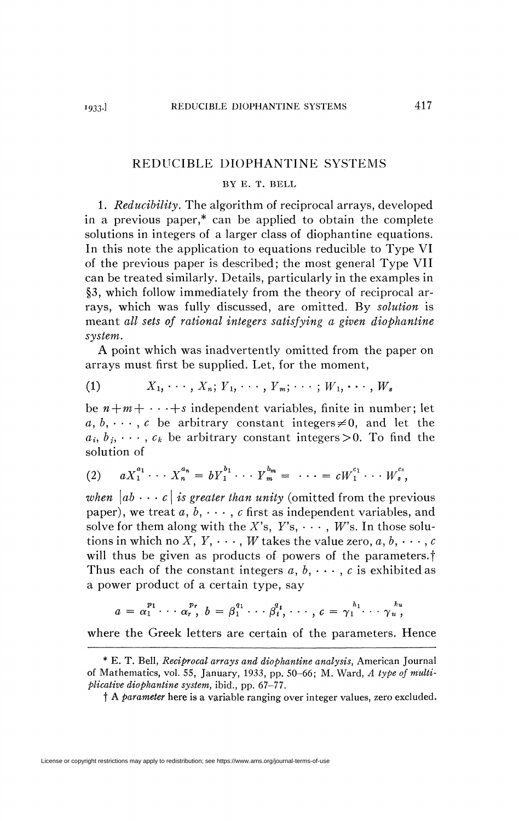## REDUCIBLE DIOPHANTINE SYSTEMS

## BY E. T. BELL

1. *Reducibility.* The algorithm of reciprocal arrays, developed in a previous paper,\* can be applied to obtain the complete solutions in integers of a larger class of diophantine equations. In this note the application to equations reducible to Type VI of the previous paper is described; the most general Type VII can be treated similarly. Details, particularly in the examples in §3, which follow immediately from the theory of reciprocal arrays, which was fully discussed, are omitted. By *solution* is meant *all sets of rational integers satisfying a given diophantine system.* 

A point which was inadvertently omitted from the paper on arrays must first be supplied. Let, for the moment,

$$
(1) \qquad X_1, \cdots, X_n; Y_1, \cdots, Y_m; \cdots; W_1, \cdots, W_s
$$

be  $n+m+\cdots+s$  independent variables, finite in number; let  $a, b, \dots, c$  be arbitrary constant integers  $\neq 0$ , and let the  $a_i, b_j, \dots, c_k$  be arbitrary constant integers  $> 0$ . To find the solution of

$$
(2) \t a X_1^{a_1} \cdots X_n^{a_n} = b Y_1^{b_1} \cdots Y_m^{b_m} = \cdots = c W_1^{c_1} \cdots W_s^{c_s},
$$

*when*  $|ab \cdots c|$  *is greater than unity* (omitted from the previous paper), we treat  $a, b, \cdots, c$  first as independent variables, and solve for them along with the X's,  $Y$ 's,  $\cdots$ , *W*'s. In those solutions in which no X,  $Y, \cdots, W$  takes the value zero,  $a, b, \cdots, c$ will thus be given as products of powers of the parameters.<sup>†</sup> Thus each of the constant integers  $a, b, \dots, c$  is exhibited as a power product of a certain type, say

$$
a = \alpha_1^{p_1} \cdots \alpha_r^{p_r}, \quad b = \beta_1^{q_1} \cdots \beta_t^{q_t}, \cdots, c = \gamma_1^{h_1} \cdots \gamma_u^{h_u},
$$

where the Greek letters are certain of the Greek letters are certain of the parameters. Hence, the parameters are certain of the parameters are certain of the parameters are certain of the parameters are certain of the par

<sup>\*</sup> E. T. Bell, *Reciprocal arrays and diophantine analysis,* American Journal of Mathematics, vol. 55, January, 1933, pp. 50-66; M. Ward, *A type of multiplicative diophantine system,* ibid., pp. *61-11.* 

t A *parameter* here is a variable ranging over integer values, zero excluded.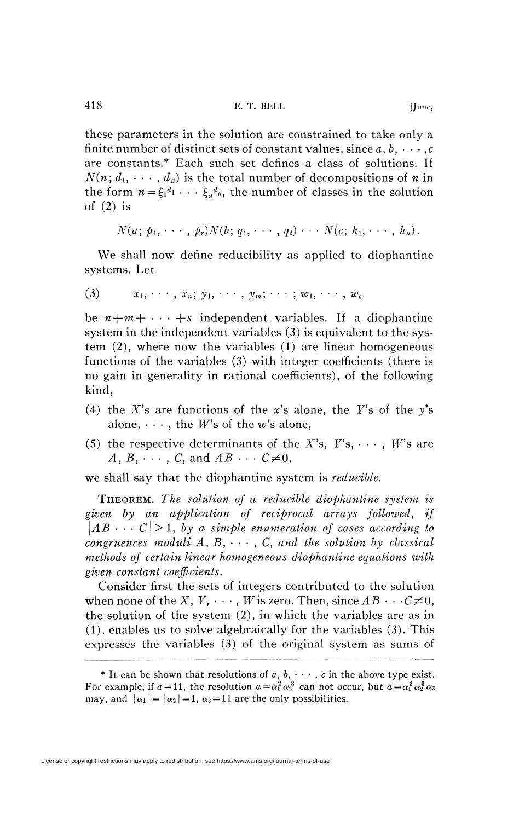these parameters in the solution are constrained to take only a finite number of distinct sets of constant values, since  $a, b, \cdots, c$ are constants.\* Each such set defines a class of solutions. If  $N(n; d_1, \dots, d_g)$  is the total number of decompositions of *n* in the form  $n = \xi_1^{d_1} \cdots \xi_q^{d_q}$ , the number of classes in the solution of  $(2)$  is

$$
N(a; p_1, \cdots, p_r)N(b; q_1, \cdots, q_t) \cdots N(c; h_1, \cdots, h_u).
$$

We shall now define reducibility as applied to diophantine systems. Let

$$
(3) \qquad x_1, \cdots, x_n; y_1, \cdots, y_m; \cdots; w_1, \cdots, w_s
$$

be  $n+m+\cdots+s$  independent variables. If a diophantine system in the independent variables (3) is equivalent to the system (2), where now the variables (1) are linear homogeneous functions of the variables (3) with integer coefficients (there is no gain in generality in rational coefficients), of the following kind,

- (4) the X's are functions of the x's alone, the Y's of the  $y$ 's alone,  $\cdots$ , the *W*'s of the *w*'s alone,
- (5) the respective determinants of the  $X$ 's,  $Y$ 's,  $\cdots$ , *W*'s are  $A, B, \cdots, C$ , and  $AB \cdots C \neq 0$ ,

we shall say that the diophantine system is *reducible.* 

THEOREM. *The solution of a reducible diophantine system is given by an application of reciprocal arrays followed, if*   $\vert AB \cdots C \vert > 1$ , by a simple enumeration of cases according to *congruences moduli A, B<sup>f</sup> • • • , C, and the solution by classical methods of certain linear homogeneous diophantine equations with given constant coefficients*.

Consider first the sets of integers contributed to the solution when none of the *X*, *Y*,  $\cdots$ , *W* is zero. Then, since  $AB \cdots C \neq 0$ , the solution of the system (2), in which the variables are as in (1), enables us to solve algebraically for the variables (3). This expresses the variables (3) of the original system as sums of

<sup>\*</sup> It can be shown that resolutions of  $a, b, \cdots, c$  in the above type exist. For example, if  $a = 11$ , the resolution  $a = \alpha_1^2 \alpha_2^3$  can not occur, but  $a = \alpha_1^2 \alpha_2^3 \alpha_3$ may, and  $|\alpha_1| = |\alpha_2| = 1$ ,  $\alpha_3 = 11$  are the only possibilities.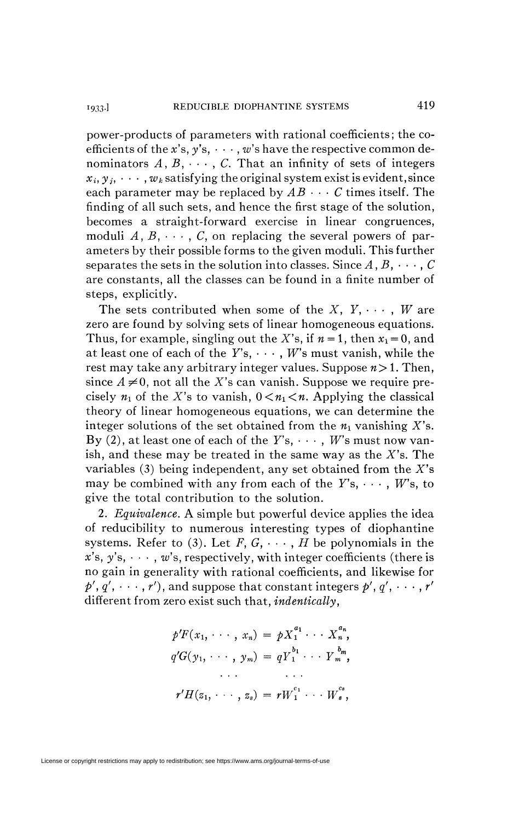power-products of parameters with rational coefficients ; the coefficients of the x's,  $y's$ ,  $\cdots$ , w's have the respective common denominators  $A, B, \cdots, C$ . That an infinity of sets of integers  $x_i, y_j, \dots, w_k$  satisfying the original system exist is evident, since each parameter may be replaced by  $AB \cdots C$  times itself. The finding of all such sets, and hence the first stage of the solution, becomes a straight-forward exercise in linear congruences, moduli  $A, B, \cdots, C$ , on replacing the several powers of parameters by their possible forms to the given moduli. This further separates the sets in the solution into classes. Since  $A, B, \cdots, C$ are constants, all the classes can be found in a finite number of steps, explicitly.

The sets contributed when some of the  $X, Y, \cdots, W$  are zero are found by solving sets of linear homogeneous equations. Thus, for example, singling out the X's, if  $n = 1$ , then  $x_1 = 0$ , and at least one of each of the  $Y$ 's,  $\cdots$ ,  $W$ 's must vanish, while the rest may take any arbitrary integer values. Suppose *n>* 1. Then, since  $A \neq 0$ , not all the X's can vanish. Suppose we require precisely  $n_1$  of the X's to vanish,  $0 \lt n_1 \lt n$ . Applying the classical theory of linear homogeneous equations, we can determine the integer solutions of the set obtained from the  $n_1$  vanishing X's. By (2), at least one of each of the  $Y$ 's,  $\cdots$ , *W*'s must now vanish, and these may be treated in the same way as the  $X$ 's. The variables  $(3)$  being independent, any set obtained from the X's may be combined with any from each of the  $Y$ 's,  $\cdots$ , *W*'s, to give the total contribution to the solution.

2. *Equivalence.* A simple but powerful device applies the idea of reducibility to numerous interesting types of diophantine systems. Refer to (3). Let  $F, G, \cdots, H$  be polynomials in the  $x's, y's, \dots, w's, respectively, with integer coefficients (there is$ no gain in generality with rational coefficients, and likewise for  $p', q', \cdots, r'$ ), and suppose that constant integers  $p', q', \cdots, r'$ different from zero exist such that, *indentically*,

$$
p'F(x_1, \dots, x_n) = pX_1^{a_1} \dots X_n^{a_n},
$$
  
\n
$$
q'G(y_1, \dots, y_m) = qY_1^{b_1} \dots Y_m^{b_m},
$$
  
\n
$$
\dots
$$
  
\n
$$
r'H(z_1, \dots, z_s) = rW_1^{c_1} \dots W_s^{c_s},
$$

License or copyright restrictions may apply to redistribution; see https://www.ams.org/journal-terms-of-use

1933.]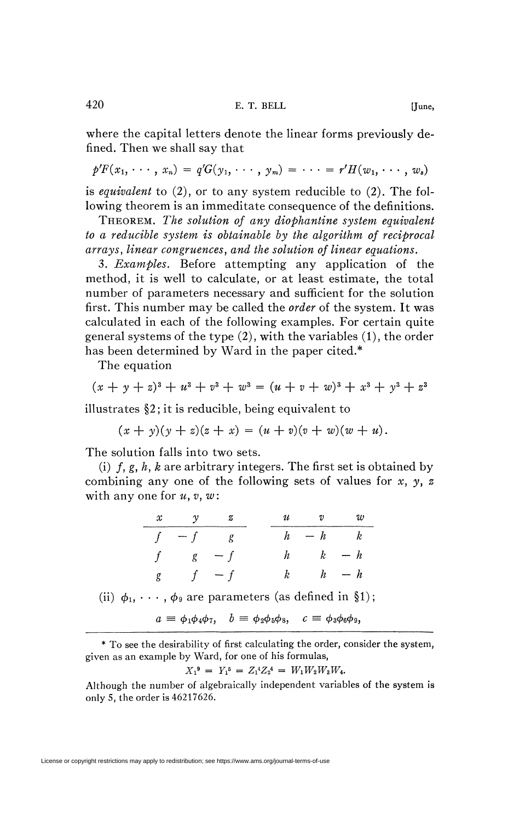where the capital letters denote the linear forms previously defined. Then we shall say that

$$
p'F(x_1,\cdots,x_n)=q'G(y_1,\cdots,y_m)=\cdots=r'H(w_1,\cdots,w_s)
$$

is *equivalent* to (2), or to any system reducible to (2). The following theorem is an immeditate consequence of the definitions.

THEOREM. *The solution of any diophantine system equivalent to a reducible system is obtainable by the algorithm of reciprocal arrays, linear congruences, and the solution of linear equations.* 

3. *Examples.* Before attempting any application of the method, it is well to calculate, or at least estimate, the total number of parameters necessary and sufficient for the solution first. This number may be called the *order* of the system. It was calculated in each of the following examples. For certain quite general systems of the type (2), with the variables (1), the order has been determined by Ward in the paper cited.\*

The equation

$$
(x + y + z)^3 + u^3 + v^3 + w^3 = (u + v + w)^3 + x^3 + y^3 + z^3
$$

illustrates §2 ; it is reducible, being equivalent to

 $(x + y)(y + z)(z + x) = (u + v)(v + w)(w + u).$ 

The solution falls into two sets.

(i)  $f, g, h, k$  are arbitrary integers. The first set is obtained by combining any one of the following sets of values for *x, y, z*  with any one for  $u, v, w$ :

| $x \quad y \quad z$ |  | $u$ v                  |  |
|---------------------|--|------------------------|--|
| $f - f$ g           |  | $h - h$ $k$            |  |
| $f$ $g$ $-f$        |  | $h \qquad k \qquad -h$ |  |
| g $f - f$           |  | $k \qquad h \qquad -h$ |  |

(ii)  $\phi_1, \cdots, \phi_9$  are parameters (as defined in §1);

 $a \equiv \phi_1 \phi_4 \phi_7$ ,  $b \equiv \phi_2 \phi_5 \phi_8$ ,  $c \equiv \phi_3 \phi_6 \phi_9$ ,

\* To see the desirability of first calculating the order, consider the system, given as an example by Ward, for one of his formulas,

$$
X_1^9 = Y_1^5 = Z_1^4 Z_2^4 = W_1 W_2 W_3 W_4.
$$

Although the number of algebraically independent variables of the system is only 5, the order is 46217626.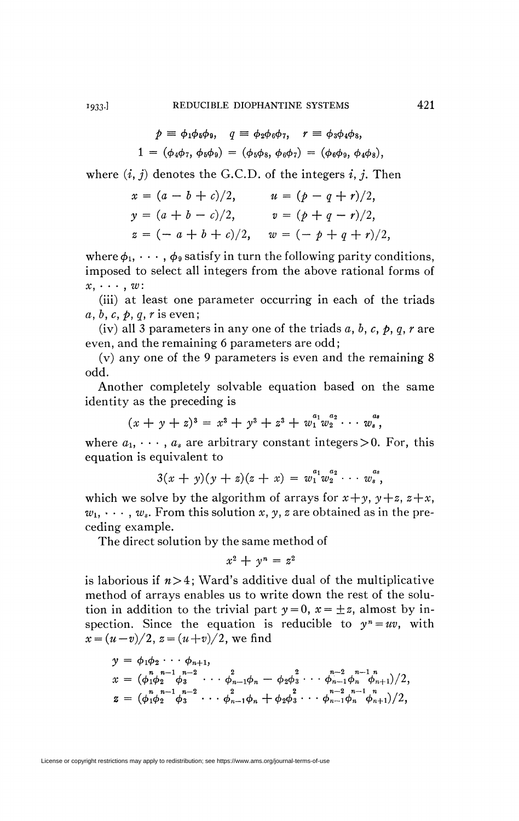$$
p = \phi_1 \phi_5 \phi_9, \quad q = \phi_2 \phi_6 \phi_7, \quad r = \phi_3 \phi_4 \phi_8, 1 = (\phi_4 \phi_7, \phi_5 \phi_9) = (\phi_5 \phi_8, \phi_6 \phi_7) = (\phi_6 \phi_9, \phi_4 \phi_8),
$$

where  $(i, j)$  denotes the G.C.D. of the integers  $i, j$ . Then

$$
x = (a - b + c)/2, \qquad u = (p - q + r)/2,
$$
  
\n
$$
y = (a + b - c)/2, \qquad v = (p + q - r)/2,
$$
  
\n
$$
z = (-a + b + c)/2, \qquad w = (-p + q + r)/2,
$$

where  $\phi_1, \dots, \phi_9$  satisfy in turn the following parity conditions, imposed to select all integers from the above rational forms of *x, - -* • , *w:* 

(iii) at least one parameter occurring in each of the triads *a*, *b*, *c*, *p*, *q*, *r* is even;

(iv) all 3 parameters in any one of the triads a, *b, c, p, q, r are*  even, and the remaining 6 parameters are odd;

(v) any one of the 9 parameters is even and the remaining 8 odd.

Another completely solvable equation based on the same identity as the preceding is

$$
(x + y + z)^3 = x^3 + y^3 + z^3 + w_1^{a_1} w_2^{a_2} \cdots w_s^{a_s},
$$

where  $a_1, \dots, a_s$  are arbitrary constant integers > 0. For, this equation is equivalent to

$$
3(x + y)(y + z)(z + x) = w_1^{a_1}w_2^{a_2}\cdots w_s^{a_s},
$$

which we solve by the algorithm of arrays for  $x+y$ *,*  $y+z$ *,*  $z+x$ *,*  $w_1,\,\cdots,\,w_s.$  From this solution  $x,\,y,\,z$  are obtained as in the preceding example.

The direct solution by the same method of

$$
x^2 + y^n = z^2
$$

is laborious if  $n>4$ ; Ward's additive dual of the multiplicative method of arrays enables us to write down the rest of the solution in addition to the trivial part  $y=0$ ,  $x=\pm z$ , almost by inspection. Since the equation is reducible to  $y^n = uv$ , with  $x = (u - v)/2$ ,  $z = (u + v)/2$ , we find

$$
y = \phi_1 \phi_2 \cdots \phi_{n+1},
$$
  
\n
$$
x = (\phi_1 \phi_2 \phi_3 \cdots \phi_{n-1} \phi_n - \phi_2 \phi_3 \cdots \phi_{n-1} \phi_n \phi_{n+1})/2,
$$
  
\n
$$
z = (\phi_1 \phi_2 \phi_3 \cdots \phi_{n-1} \phi_n + \phi_2 \phi_3 \cdots \phi_{n-1} \phi_n \phi_{n+1})/2,
$$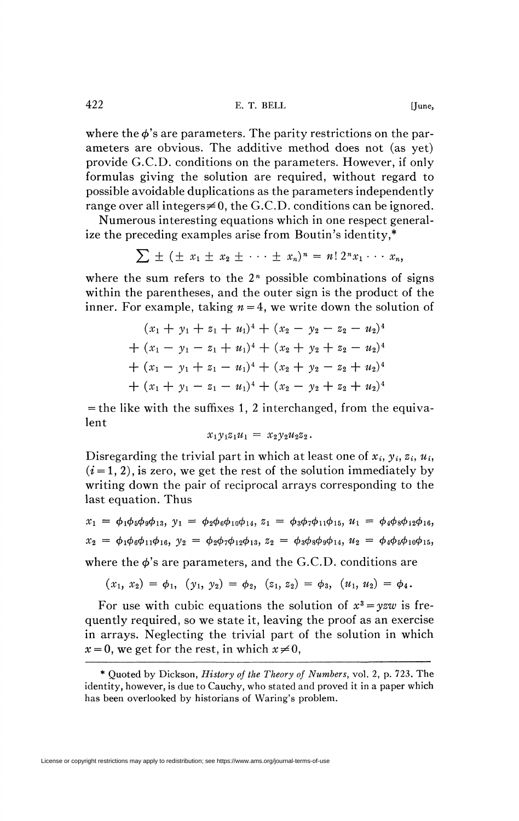where the  $\phi$ 's are parameters. The parity restrictions on the parameters are obvious. The additive method does not (as yet) provide G.C.D. conditions on the parameters. However, if only formulas giving the solution are required, without regard to possible avoidable duplications as the parameters independently range over all integers $\neq 0$ , the G.C.D. conditions can be ignored.

Numerous interesting equations which in one respect generalize the preceding examples arise from Boutin's identity,\*

$$
\sum \pm (\pm x_1 \pm x_2 \pm \cdots \pm x_n)^n = n! \, 2^n x_1 \cdots x_n,
$$

where the sum refers to the  $2<sup>n</sup>$  possible combinations of signs within the parentheses, and the outer sign is the product of the inner. For example, taking  $n = 4$ , we write down the solution of

$$
(x_1 + y_1 + z_1 + u_1)^4 + (x_2 - y_2 - z_2 - u_2)^4
$$
  
+ 
$$
(x_1 - y_1 - z_1 + u_1)^4 + (x_2 + y_2 + z_2 - u_2)^4
$$
  
+ 
$$
(x_1 - y_1 + z_1 - u_1)^4 + (x_2 + y_2 - z_2 + u_2)^4
$$
  
+ 
$$
(x_1 + y_1 - z_1 - u_1)^4 + (x_2 - y_2 + z_2 + u_2)^4
$$

 $=$  the like with the suffixes 1, 2 interchanged, from the equivalent

$$
x_1y_1z_1u_1 = x_2y_2u_2z_2.
$$

Disregarding the trivial part in which at least one of  $x_i, y_i, z_i, u_i$ ,  $(i=1, 2)$ , is zero, we get the rest of the solution immediately by writing down the pair of reciprocal arrays corresponding to the last equation. Thus

$$
x_1 = \phi_1 \phi_5 \phi_9 \phi_{13}, y_1 = \phi_2 \phi_6 \phi_{10} \phi_{14}, z_1 = \phi_3 \phi_7 \phi_{11} \phi_{15}, u_1 = \phi_4 \phi_8 \phi_{12} \phi_{16},
$$
  
\n
$$
x_2 = \phi_1 \phi_6 \phi_{11} \phi_{16}, y_2 = \phi_2 \phi_7 \phi_{12} \phi_{13}, z_2 = \phi_3 \phi_8 \phi_9 \phi_{14}, u_2 = \phi_4 \phi_5 \phi_{10} \phi_{15},
$$
  
\nwhere the  $\phi$ 's are parameters, and the G.C.D. conditions are

$$
(x_1, x_2) = \phi_1, (y_1, y_2) = \phi_2, (z_1, z_2) = \phi_3, (u_1, u_2) = \phi_4.
$$

For use with cubic equations the solution of  $x^3 = yzw$  is frequently required, so we state it, leaving the proof as an exercise in arrays. Neglecting the trivial part of the solution in which  $x = 0$ , we get for the rest, in which  $x \neq 0$ ,

<sup>\*</sup> Quoted by Dickson, *History of the Theory of Numbers,* vol. 2, p. 723. The identity, however, is due to Cauchy, who stated and proved it in a paper which has been overlooked by historians of Waring's problem.